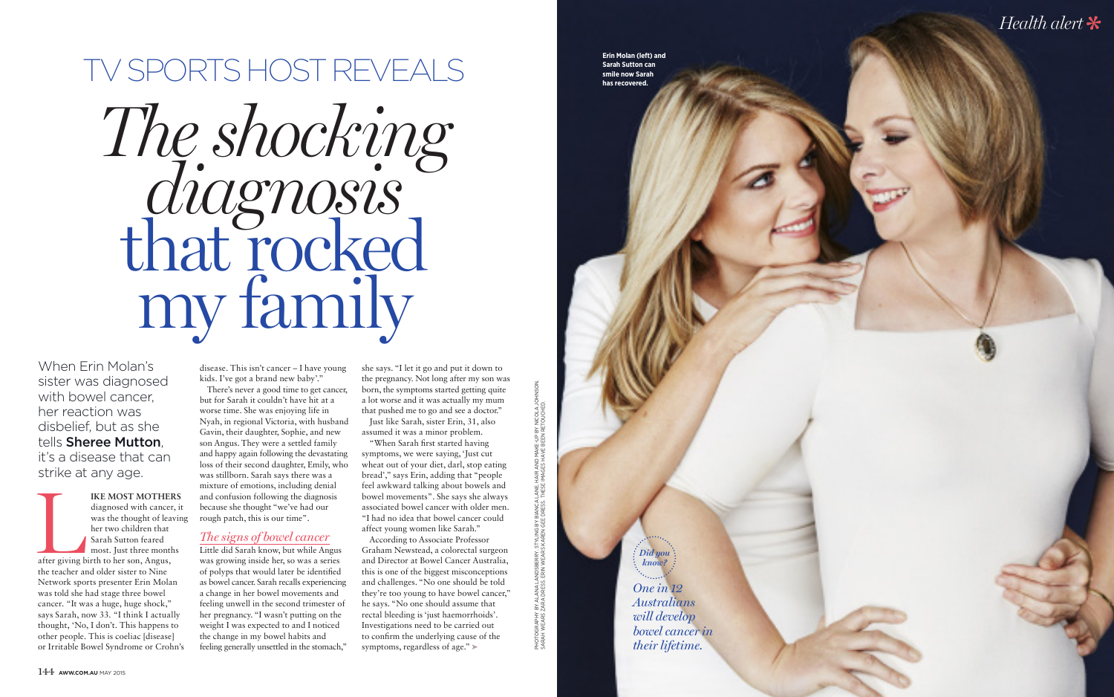

PHOTOGRAPHY BY ALANA LANDSBERRY. STYLING BY BIANCA LANE. HAIR AND MAKE-UP BY NICOLA JOHNSON.

PHOTOGRAPHY BY ALANA LANDSBERRY. STYLING BY BIANCA LANE. HAIR AND MAKE-UP BY NICOLA JO<br>SARAH WEARS ZARA DRESS. ERIN WEARS KAREN GEE DRESS. THESE IMAGES HAVE BEEN RETOUCHED. SARAH WEARS ZARA DRESS. ERIN WEARS KAREN GEE DRESS. THESE IMAGES HAVE BEEN RETOUCHED.

# *The shocking diagnosis* that rocked my family TV SPORTS HOST REVEALS

When Erin Molan's sister was diagnosed with bowel cancer. her reaction was disbelief, but as she tells Sheree Mutton, it's a disease that can strike at any age.

IKE MOST MOTHERS<br>
diagnosed with cancer, it<br>
was the thought of leavin<br>
her two children that<br>
Sarah Sutton feared<br>
most. Just three months<br>
after giving birth to her son, Angus,<br>
the teacher and older sister to Nine diagnosed with cancer, it was the thought of leaving her two children that Sarah Sutton feared most. Just three months after giving birth to her son, Angus, the teacher and older sister to Nine Network sports presenter Erin Molan was told she had stage three bowel cancer. "It was a huge, huge shock," says Sarah, now 33. "I think I actually thought, 'No, I don't. This happens to other people. This is coeliac [disease] or Irritable Bowel Syndrome or Crohn's

*One in 12 Australians will develop Did you know?*

*bowel cancer in their lifetime.*

disease. This isn't cancer – I have young kids. I've got a brand new baby'." There's never a good time to get cancer, but for Sarah it couldn't have hit at a worse time. She was enjoying life in Nyah, in regional Victoria, with husband Gavin, their daughter, Sophie, and new son Angus. They were a settled family and happy again following the devastating loss of their second daughter, Emily, who was stillborn. Sarah says there was a mixture of emotions, including denial and confusion following the diagnosis because she thought "we've had our

rough patch, this is our time".

#### *The signs of bowel cancer*

Little did Sarah know, but while Angus was growing inside her, so was a series of polyps that would later be identified as bowel cancer. Sarah recalls experiencing a change in her bowel movements and feeling unwell in the second trimester of her pregnancy. "I wasn't putting on the weight I was expected to and I noticed the change in my bowel habits and feeling generally unsettled in the stomach," she says. "I let it go and put it down to the pregnancy. Not long after my son was born, the symptoms started getting quite a lot worse and it was actually my mum that pushed me to go and see a doctor." Just like Sarah, sister Erin, 31, also

assumed it was a minor problem.

"When Sarah first started having symptoms, we were saying, 'Just cut wheat out of your diet, darl, stop eating bread'," says Erin, adding that "people feel awkward talking about bowels and bowel movements". She says she always associated bowel cancer with older men. "I had no idea that bowel cancer could affect young women like Sarah."

According to Associate Professor Graham Newstead, a colorectal surgeon and Director at Bowel Cancer Australia, this is one of the biggest misconceptions and challenges. "No one should be told they're too young to have bowel cancer," he says. "No one should assume that rectal bleeding is 'just haemorrhoids'. Investigations need to be carried out to confirm the underlying cause of the symptoms, regardless of age." >

**Erin Molan (left) and Sarah Sutton can smile now Sarah has recovered.**